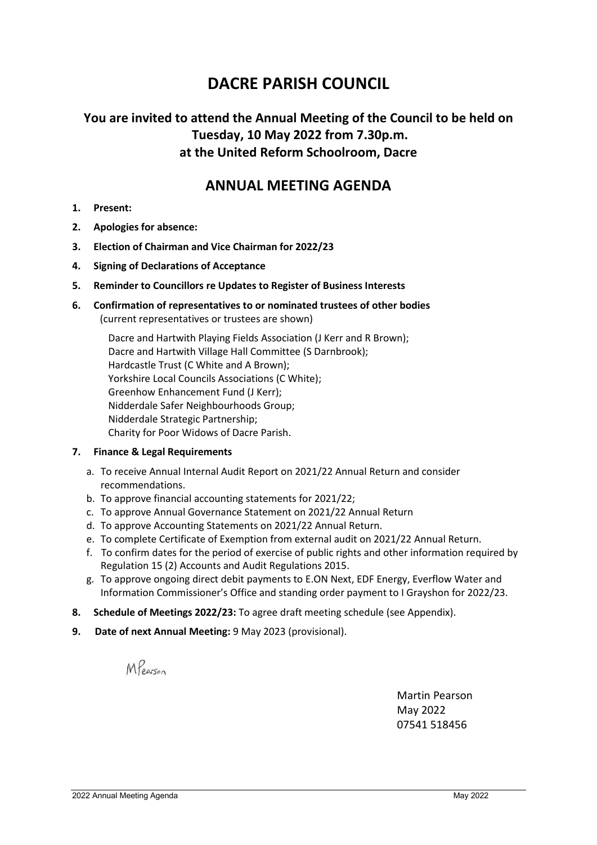# **DACRE PARISH COUNCIL**

### **You are invited to attend the Annual Meeting of the Council to be held on Tuesday, 10 May 2022 from 7.30p.m. at the United Reform Schoolroom, Dacre**

#### **ANNUAL MEETING AGENDA**

- **1. Present:**
- **2. Apologies for absence:**
- **3. Election of Chairman and Vice Chairman for 2022/23**
- **4. Signing of Declarations of Acceptance**
- **5. Reminder to Councillors re Updates to Register of Business Interests**
- **6. Confirmation of representatives to or nominated trustees of other bodies** (current representatives or trustees are shown)

 Dacre and Hartwith Playing Fields Association (J Kerr and R Brown); Dacre and Hartwith Village Hall Committee (S Darnbrook); Hardcastle Trust (C White and A Brown); Yorkshire Local Councils Associations (C White); Greenhow Enhancement Fund (J Kerr); Nidderdale Safer Neighbourhoods Group; Nidderdale Strategic Partnership; Charity for Poor Widows of Dacre Parish.

#### **7. Finance & Legal Requirements**

- a. To receive Annual Internal Audit Report on 2021/22 Annual Return and consider recommendations.
- b. To approve financial accounting statements for 2021/22;
- c. To approve Annual Governance Statement on 2021/22 Annual Return
- d. To approve Accounting Statements on 2021/22 Annual Return.
- e. To complete Certificate of Exemption from external audit on 2021/22 Annual Return.
- f. To confirm dates for the period of exercise of public rights and other information required by Regulation 15 (2) Accounts and Audit Regulations 2015.
- g. To approve ongoing direct debit payments to E.ON Next, EDF Energy, Everflow Water and Information Commissioner's Office and standing order payment to I Grayshon for 2022/23.
- **8. Schedule of Meetings 2022/23:** To agree draft meeting schedule (see Appendix).
- **9. Date of next Annual Meeting:** 9 May 2023 (provisional).

MPearson

Martin Pearson May 2022 07541 518456